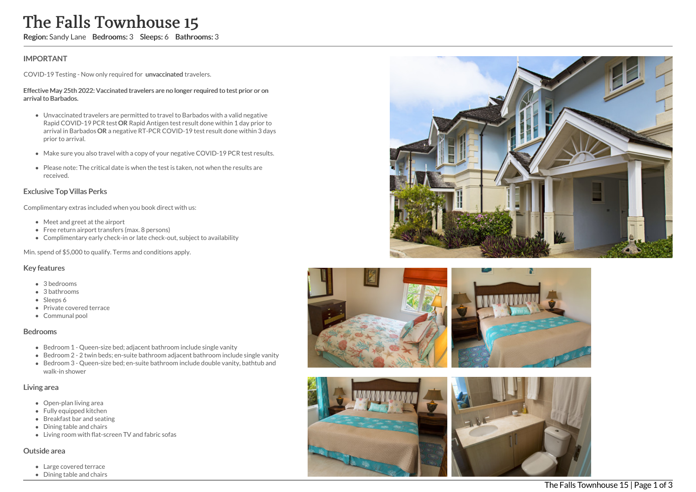# The Falls Townhouse 15

Region: Sandy Lane Bedrooms: 3 Sleeps: 6 Bathrooms: 3

## IMPORTANT

COVID-19 Testing - Now only required for unvaccinated travelers.

#### Effective May 25th 2022: Vaccinated travelers are no longer required to test prior or on arrival to Barbados.

- Unvaccinated travelers are permitted to travel to Barbados with a valid negative Rapid COVID-19 PCR test OR Rapid Antigen test result done within 1 day prior to arrival in Barbados OR a negative RT-PCR COVID-19 test result done within 3 days prior to arrival.
- Make sure you also travel with a copy of your negative COVID-19 PCR test results.
- Please note: The critical date is when the test is taken, not when the results are received.

## Exclusive Top Villas Perks

Complimentary extras included when you book direct with us:

- Meet and greet at the airport
- Free return airport transfers (max. 8 persons)
- Complimentary early check-in or late check-out, subject to availability

Min. spend of \$5,000 to qualify. Terms and conditions apply.

### Key features

- 3 bedrooms
- 3 bathrooms
- Sleeps 6
- Private covered terrace
- Communal pool

#### Bedrooms

- Bedroom 1 Queen-size bed; adjacent bathroom include single vanity
- Bedroom 2 2 twin beds; en-suite bathroom adjacent bathroom include single vanity Bedroom 3 - Queen-size bed; en-suite bathroom include double vanity, bathtub and
- walk-in shower

## Living area

- Open-plan living area
- Fully equipped kitchen
- Breakfast bar and seating
- Dining table and chairs
- Living room with flat-screen TV and fabric sofas

#### Outside area

- Large covered terrace
- Dining table and chairs









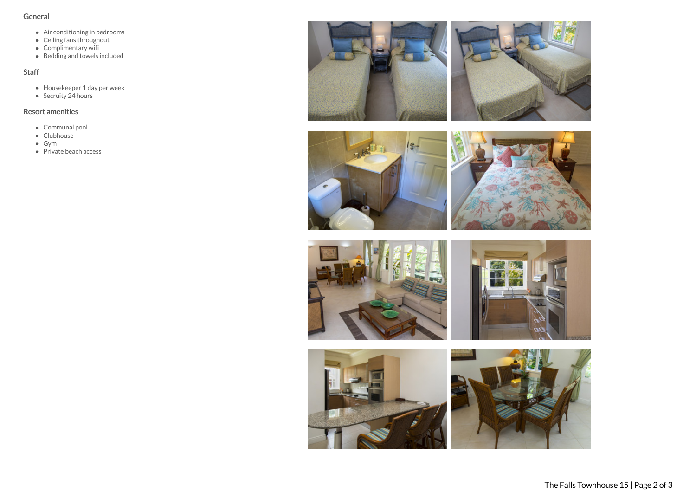## General

- Air conditioning in bedrooms
- Ceiling fans throughout
- Complimentary wifi
- Bedding and towels included

# Staff

- Housekeeper 1 day per week
- Secruity 24 hours

# Resort amenities

- Communal pool
- Clubhouse
- Gym
- $\bullet$  Private beach access